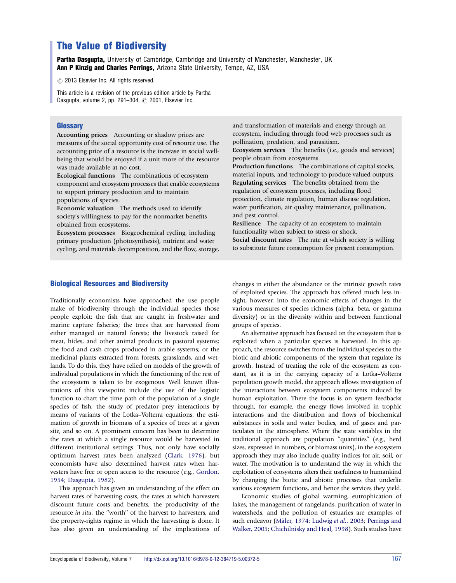# <span id="page-0-0"></span>The Value of Biodiversity

Partha Dasgupta, University of Cambridge, Cambridge and University of Manchester, Manchester, UK Ann P Kinzig and Charles Perrings, Arizona State University, Tempe, AZ, USA

 $\odot$  2013 Elsevier Inc. All rights reserved.

This article is a revision of the previous edition article by Partha Dasgupta, volume 2, pp. 291–304,  $\odot$  2001, Elsevier Inc.

## **Glossary**

Accounting prices Accounting or shadow prices are measures of the social opportunity cost of resource use. The accounting price of a resource is the increase in social wellbeing that would be enjoyed if a unit more of the resource was made available at no cost.

Ecological functions The combinations of ecosystem component and ecosystem processes that enable ecosystems to support primary production and to maintain

populations of species.

Economic valuation The methods used to identify society's willingness to pay for the nonmarket benefits obtained from ecosystems.

Ecosystem processes Biogeochemical cycling, including primary production (photosynthesis), nutrient and water cycling, and materials decomposition, and the flow, storage, and transformation of materials and energy through an ecosystem, including through food web processes such as pollination, predation, and parasitism.

Ecosystem services The benefits (i.e., goods and services) people obtain from ecosystems.

Production functions The combinations of capital stocks, material inputs, and technology to produce valued outputs. Regulating services The benefits obtained from the regulation of ecosystem processes, including flood protection, climate regulation, human disease regulation, water purification, air quality maintenance, pollination, and pest control.

Resilience The capacity of an ecosystem to maintain functionality when subject to stress or shock.

Social discount rates The rate at which society is willing to substitute future consumption for present consumption.

## Biological Resources and Biodiversity

Traditionally economists have approached the use people make of biodiversity through the individual species those people exploit: the fish that are caught in freshwater and marine capture fisheries; the trees that are harvested from either managed or natural forests; the livestock raised for meat, hides, and other animal products in pastoral systems; the food and cash crops produced in arable systems; or the medicinal plants extracted from forests, grasslands, and wetlands. To do this, they have relied on models of the growth of individual populations in which the functioning of the rest of the ecosystem is taken to be exogenous. Well known illustrations of this viewpoint include the use of the logistic function to chart the time path of the population of a single species of fish, the study of predator–prey interactions by means of variants of the Lotka–Volterra equations, the estimation of growth in biomass of a species of trees at a given site, and so on. A prominent concern has been to determine the rates at which a single resource would be harvested in different institutional settings. Thus, not only have socially optimum harvest rates been analyzed [\(Clark, 1976](#page-11-0)), but economists have also determined harvest rates when harvesters have free or open access to the resource (e.g., [Gordon,](#page-12-0) [1954](#page-12-0); [Dasgupta, 1982](#page-11-0)).

This approach has given an understanding of the effect on harvest rates of harvesting costs, the rates at which harvesters discount future costs and benefits, the productivity of the resource in situ, the ''worth'' of the harvest to harvesters, and the property-rights regime in which the harvesting is done. It has also given an understanding of the implications of changes in either the abundance or the intrinsic growth rates of exploited species. The approach has offered much less insight, however, into the economic effects of changes in the various measures of species richness (alpha, beta, or gamma diversity) or in the diversity within and between functional groups of species.

An alternative approach has focused on the ecosystem that is exploited when a particular species is harvested. In this approach, the resource switches from the individual species to the biotic and abiotic components of the system that regulate its growth. Instead of treating the role of the ecosystem as constant, as it is in the carrying capacity of a Lotka–Volterra population growth model, the approach allows investigation of the interactions between ecosystem components induced by human exploitation. There the focus is on system feedbacks through, for example, the energy flows involved in trophic interactions and the distribution and flows of biochemical substances in soils and water bodies, and of gases and particulates in the atmosphere. Where the state variables in the traditional approach are population ''quantities'' (e.g., herd sizes, expressed in numbers, or biomass units), in the ecosystem approach they may also include quality indices for air, soil, or water. The motivation is to understand the way in which the exploitation of ecosystems alters their usefulness to humankind by changing the biotic and abiotic processes that underlie various ecosystem functions, and hence the services they yield.

Economic studies of global warming, eutrophication of lakes, the management of rangelands, purification of water in watersheds, and the pollution of estuaries are examples of such endeavor (Mäler, 1974; [Ludwig](#page-12-0) et al., 2003; [Perrings and](#page-12-0) [Walker, 2005;](#page-12-0) [Chichilnisky and Heal, 1998\)](#page-11-0). Such studies have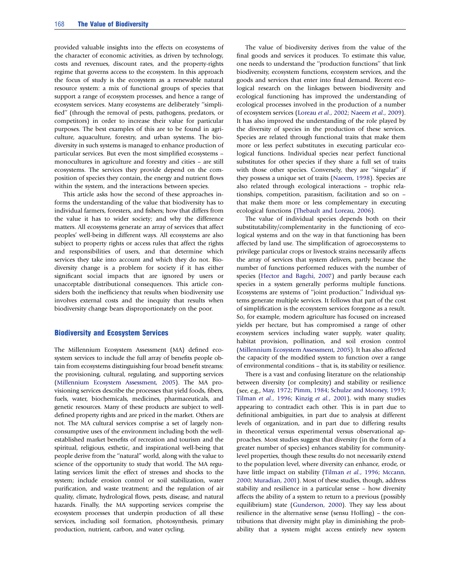provided valuable insights into the effects on ecosystems of the character of economic activities, as driven by technology, costs and revenues, discount rates, and the property-rights regime that governs access to the ecosystem. In this approach the focus of study is the ecosystem as a renewable natural resource system: a mix of functional groups of species that support a range of ecosystem processes, and hence a range of ecosystem services. Many ecosystems are deliberately ''simplified'' (through the removal of pests, pathogens, predators, or competitors) in order to increase their value for particular purposes. The best examples of this are to be found in agriculture, aquaculture, forestry, and urban systems. The biodiversity in such systems is managed to enhance production of particular services. But even the most simplified ecosystems – monocultures in agriculture and forestry and cities – are still ecosystems. The services they provide depend on the composition of species they contain, the energy and nutrient flows within the system, and the interactions between species.

This article asks how the second of these approaches informs the understanding of the value that biodiversity has to individual farmers, foresters, and fishers; how that differs from the value it has to wider society; and why the difference matters. All ecosystems generate an array of services that affect peoples' well-being in different ways. All ecosystems are also subject to property rights or access rules that affect the rights and responsibilities of users, and that determine which services they take into account and which they do not. Biodiversity change is a problem for society if it has either significant social impacts that are ignored by users or unacceptable distributional consequences. This article considers both the inefficiency that results when biodiversity use involves external costs and the inequity that results when biodiversity change bears disproportionately on the poor.

#### Biodiversity and Ecosystem Services

The Millennium Ecosystem Assessment (MA) defined ecosystem services to include the full array of benefits people obtain from ecosystems distinguishing four broad benefit streams: the provisioning, cultural, regulating, and supporting services ([Millennium Ecosystem Assessment, 2005\)](#page-12-0). The MA provisioning services describe the processes that yield foods, fibers, fuels, water, biochemicals, medicines, pharmaceuticals, and genetic resources. Many of these products are subject to welldefined property rights and are priced in the market. Others are not. The MA cultural services comprise a set of largely nonconsumptive uses of the environment including both the wellestablished market benefits of recreation and tourism and the spiritual, religious, esthetic, and inspirational well-being that people derive from the ''natural'' world, along with the value to science of the opportunity to study that world. The MA regulating services limit the effect of stresses and shocks to the system; include erosion control or soil stabilization, water purification, and waste treatment; and the regulation of air quality, climate, hydrological flows, pests, disease, and natural hazards. Finally, the MA supporting services comprise the ecosystem processes that underpin production of all these services, including soil formation, photosynthesis, primary production, nutrient, carbon, and water cycling.

The value of biodiversity derives from the value of the final goods and services it produces. To estimate this value, one needs to understand the ''production functions'' that link biodiversity, ecosystem functions, ecosystem services, and the goods and services that enter into final demand. Recent ecological research on the linkages between biodiversity and ecological functioning has improved the understanding of ecological processes involved in the production of a number of ecosystem services (Loreau et al[., 2002;](#page-12-0) [Naeem](#page-12-0) et al., 2009). It has also improved the understanding of the role played by the diversity of species in the production of these services. Species are related through functional traits that make them more or less perfect substitutes in executing particular ecological functions. Individual species near perfect functional substitutes for other species if they share a full set of traits with those other species. Conversely, they are "singular" if they possess a unique set of traits [\(Naeem, 1998\)](#page-12-0). Species are also related through ecological interactions – trophic relationships, competition, parasitism, facilitation and so on – that make them more or less complementary in executing ecological functions ([Thebault and Loreau, 2006](#page-12-0)).

The value of individual species depends both on their substitutability/complementarity in the functioning of ecological systems and on the way in that functioning has been affected by land use. The simplification of agroecosystems to privilege particular crops or livestock strains necessarily affects the array of services that system delivers, partly because the number of functions performed reduces with the number of species [\(Hector and Bagchi, 2007\)](#page-12-0) and partly because each species in a system generally performs multiple functions. Ecosystems are systems of ''joint production.'' Individual systems generate multiple services. It follows that part of the cost of simplification is the ecosystem services foregone as a result. So, for example, modern agriculture has focused on increased yields per hectare, but has compromised a range of other ecosystem services including water supply, water quality, habitat provision, pollination, and soil erosion control [\(Millennium Ecosystem Assessment, 2005](#page-12-0)). It has also affected the capacity of the modified system to function over a range of environmental conditions – that is, its stability or resilience.

There is a vast and confusing literature on the relationship between diversity (or complexity) and stability or resilience (see, e.g., [May, 1972](#page-12-0); [Pimm, 1984;](#page-12-0) [Schulze and Mooney, 1993;](#page-12-0) [Tilman](#page-12-0) et al., 1996; Kinzig et al.[, 2001\)](#page-12-0), with many studies appearing to contradict each other. This is in part due to definitional ambiguities, in part due to analysis at different levels of organization, and in part due to differing results in theoretical versus experimental versus observational approaches. Most studies suggest that diversity (in the form of a greater number of species) enhances stability for communitylevel properties, though these results do not necessarily extend to the population level, where diversity can enhance, erode, or have little impact on stability [\(Tilman](#page-12-0) et al., 1996; [Mccann,](#page-12-0) [2000](#page-12-0); [Muradian, 2001\)](#page-12-0). Most of these studies, though, address stability and resilience in a particular sense – how diversity affects the ability of a system to return to a previous (possibly equilibrium) state [\(Gunderson, 2000](#page-12-0)). They say less about resilience in the alternative sense (sensu Holling) – the contributions that diversity might play in diminishing the probability that a system might access entirely new system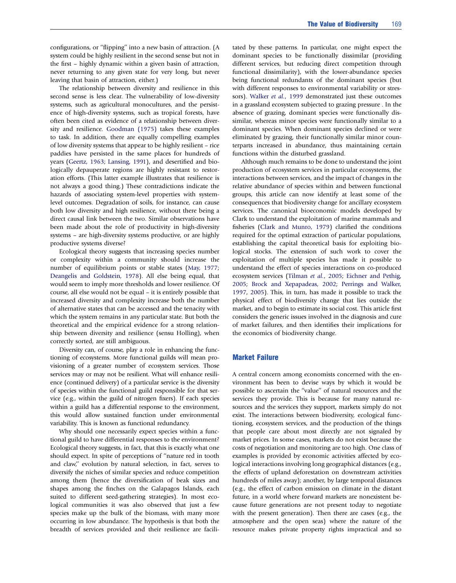<span id="page-2-0"></span>configurations, or ''flipping'' into a new basin of attraction. (A system could be highly resilient in the second sense but not in the first – highly dynamic within a given basin of attraction, never returning to any given state for very long, but never leaving that basin of attraction, either.)

The relationship between diversity and resilience in this second sense is less clear. The vulnerability of low-diversity systems, such as agricultural monocultures, and the persistence of high-diversity systems, such as tropical forests, have often been cited as evidence of a relationship between diversity and resilience. [Goodman \(1975\)](#page-12-0) takes these examples to task. In addition, there are equally compelling examples of low diversity systems that appear to be highly resilient – rice paddies have persisted in the same places for hundreds of years [\(Geertz, 1963;](#page-12-0) [Lansing, 1991](#page-12-0)), and desertified and biologically depauperate regions are highly resistant to restoration efforts. (This latter example illustrates that resilience is not always a good thing.) These contradictions indicate the hazards of associating system-level properties with systemlevel outcomes. Degradation of soils, for instance, can cause both low diversity and high resilience, without there being a direct causal link between the two. Similar observations have been made about the role of productivity in high-diversity systems – are high-diversity systems productive, or are highly productive systems diverse?

Ecological theory suggests that increasing species number or complexity within a community should increase the number of equilibrium points or stable states [\(May, 1977](#page-12-0); [Deangelis and Goldstein, 1978\)](#page-11-0). All else being equal, that would seem to imply more thresholds and lower resilience. Of course, all else would not be equal – it is entirely possible that increased diversity and complexity increase both the number of alternative states that can be accessed and the tenacity with which the system remains in any particular state. But both the theoretical and the empirical evidence for a strong relationship between diversity and resilience (sensu Holling), when correctly sorted, are still ambiguous.

Diversity can, of course, play a role in enhancing the functioning of ecosystems. More functional guilds will mean provisioning of a greater number of ecosystem services. Those services may or may not be resilient. What will enhance resilience (continued delivery) of a particular service is the diversity of species within the functional guild responsible for that service (e.g., within the guild of nitrogen fixers). If each species within a guild has a differential response to the environment, this would allow sustained function under environmental variability. This is known as functional redundancy.

Why should one necessarily expect species within a functional guild to have differential responses to the environment? Ecological theory suggests, in fact, that this is exactly what one should expect. In spite of perceptions of ''nature red in tooth and claw,'' evolution by natural selection, in fact, serves to diversify the niches of similar species and reduce competition among them (hence the diversification of beak sizes and shapes among the finches on the Galapagos Islands, each suited to different seed-gathering strategies). In most ecological communities it was also observed that just a few species make up the bulk of the biomass, with many more occurring in low abundance. The hypothesis is that both the breadth of services provided and their resilience are facilitated by these patterns. In particular, one might expect the dominant species to be functionally dissimilar (providing different services, but reducing direct competition through functional dissimilarity), with the lower-abundance species being functional redundants of the dominant species (but with different responses to environmental variability or stres-sors). [Walker](#page-12-0) et al., 1999 demonstrated just these outcomes in a grassland ecosystem subjected to grazing pressure . In the absence of grazing, dominant species were functionally dissimilar, whereas minor species were functionally similar to a dominant species. When dominant species declined or were eliminated by grazing, their functionally similar minor counterparts increased in abundance, thus maintaining certain functions within the disturbed grassland.

Although much remains to be done to understand the joint production of ecosystem services in particular ecosystems, the interactions between services, and the impact of changes in the relative abundance of species within and between functional groups, this article can now identify at least some of the consequences that biodiversity change for ancillary ecosystem services. The canonical bioeconomic models developed by Clark to understand the exploitation of marine mammals and fisheries ([Clark and Munro, 1979\)](#page-11-0) clarified the conditions required for the optimal extraction of particular populations, establishing the capital theoretical basis for exploiting biological stocks. The extension of such work to cover the exploitation of multiple species has made it possible to understand the effect of species interactions on co-produced ecosystem services [\(Tilman](#page-12-0) et al., 2005; [Eichner and Pethig,](#page-12-0) [2005;](#page-12-0) [Brock and Xepapadeas, 2002](#page-11-0); [Perrings and Walker,](#page-12-0) [1997,](#page-12-0) [2005\)](#page-12-0). This, in turn, has made it possible to track the physical effect of biodiversity change that lies outside the market, and to begin to estimate its social cost. This article first considers the generic issues involved in the diagnosis and cure of market failures, and then identifies their implications for the economics of biodiversity change.

### Market Failure

A central concern among economists concerned with the environment has been to devise ways by which it would be possible to ascertain the ''value'' of natural resources and the services they provide. This is because for many natural resources and the services they support, markets simply do not exist. The interactions between biodiversity, ecological functioning, ecosystem services, and the production of the things that people care about most directly are not signaled by market prices. In some cases, markets do not exist because the costs of negotiation and monitoring are too high. One class of examples is provided by economic activities affected by ecological interactions involving long geographical distances (e.g., the effects of upland deforestation on downstream activities hundreds of miles away); another, by large temporal distances (e.g., the effect of carbon emission on climate in the distant future, in a world where forward markets are nonexistent because future generations are not present today to negotiate with the present generation). Then there are cases (e.g., the atmosphere and the open seas) where the nature of the resource makes private property rights impractical and so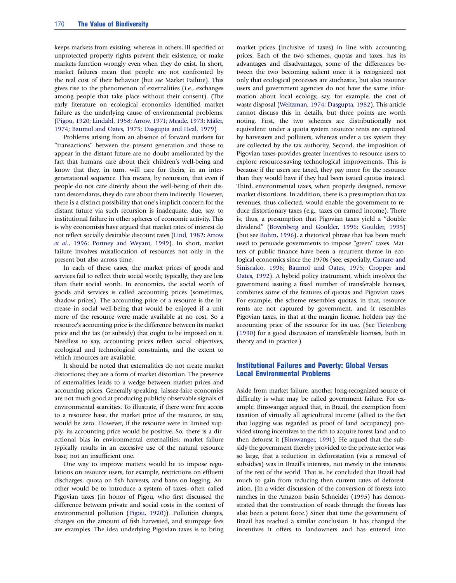<span id="page-3-0"></span>keeps markets from existing; whereas in others, ill-specified or unprotected property rights prevent their existence, or make markets function wrongly even when they do exist. In short, market failures mean that people are not confronted by the real cost of their behavior (but see [Market Failure\)](#page-2-0). This gives rise to the phenomenon of externalities (i.e., exchanges among people that take place without their consent). (The early literature on ecological economics identified market failure as the underlying cause of environmental problems. ([Pigou, 1920](#page-12-0); [Lindahl, 1958](#page-12-0); [Arrow, 1971;](#page-11-0) [Meade, 1973](#page-12-0); Mäler, [1974;](#page-12-0) [Baumol and Oates, 1975;](#page-11-0) [Dasgupta and Heal, 1979\)](#page-11-0)

Problems arising from an absence of forward markets for ''transactions'' between the present generation and those to appear in the distant future are no doubt ameliorated by the fact that humans care about their children's well-being and know that they, in turn, will care for theirs, in an intergenerational sequence. This means, by recursion, that even if people do not care directly about the well-being of their distant descendants, they do care about them indirectly. However, there is a distinct possibility that one's implicit concern for the distant future via such recursion is inadequate, due, say, to institutional failure in other spheres of economic activity. This is why economists have argued that market rates of interest do not reflect socially desirable discount rates [\(Lind, 1982](#page-12-0); [Arrow](#page-11-0) et al.[, 1996](#page-11-0); [Portney and Weyant, 1999](#page-12-0)). In short, market failure involves misallocation of resources not only in the present but also across time.

In each of these cases, the market prices of goods and services fail to reflect their social worth; typically, they are less than their social worth. In economics, the social worth of goods and services is called accounting prices (sometimes, shadow prices). The accounting price of a resource is the increase in social well-being that would be enjoyed if a unit more of the resource were made available at no cost. So a resource's accounting price is the difference between its market price and the tax (or subsidy) that ought to be imposed on it. Needless to say, accounting prices reflect social objectives, ecological and technological constraints, and the extent to which resources are available.

It should be noted that externalities do not create market distortions; they are a form of market distortion. The presence of externalities leads to a wedge between market prices and accounting prices. Generally speaking, laissez-faire economies are not much good at producing publicly observable signals of environmental scarcities. To illustrate, if there were free access to a resource base, the market price of the resource, in situ, would be zero. However, if the resource were in limited supply, its accounting price would be positive. So, there is a directional bias in environmental externalities: market failure typically results in an excessive use of the natural resource base, not an insufficient one.

One way to improve matters would be to impose regulations on resource users, for example, restrictions on effluent discharges, quota on fish harvests, and bans on logging. Another would be to introduce a system of taxes, often called Pigovian taxes (in honor of Pigou, who first discussed the difference between private and social costs in the context of environmental pollution [\(Pigou, 1920](#page-12-0))). Pollution charges, charges on the amount of fish harvested, and stumpage fees are examples. The idea underlying Pigovian taxes is to bring

market prices (inclusive of taxes) in line with accounting prices. Each of the two schemes, quotas and taxes, has its advantages and disadvantages, some of the differences between the two becoming salient once it is recognized not only that ecological processes are stochastic, but also resource users and government agencies do not have the same information about local ecology, say, for example, the cost of waste disposal ([Weitzman, 1974;](#page-12-0) [Dasgupta, 1982](#page-11-0)). This article cannot discuss this in details, but three points are worth noting. First, the two schemes are distributionally not equivalent: under a quota system resource rents are captured by harvesters and polluters, whereas under a tax system they are collected by the tax authority. Second, the imposition of Pigovian taxes provides greater incentives to resource users to explore resource-saving technological improvements. This is because if the users are taxed, they pay more for the resource than they would have if they had been issued quotas instead. Third, environmental taxes, when properly designed, remove market distortions. In addition, there is a presumption that tax revenues, thus collected, would enable the government to reduce distortionary taxes (e.g., taxes on earned income). There is, thus, a presumption that Pigovian taxes yield a ''double dividend'' [\(Bovenberg and Goulder, 1996](#page-11-0); [Goulder, 1995](#page-12-0)) (but see [Bohm, 1996\)](#page-11-0), a rhetorical phrase that has been much used to persuade governments to impose ''green'' taxes. Matters of public finance have been a recurrent theme in ecological economics since the 1970s (see, especially, [Carraro and](#page-11-0) [Siniscalco, 1996](#page-11-0); [Baumol and Oates, 1975;](#page-11-0) [Cropper and](#page-11-0) [Oates, 1992](#page-11-0)). A hybrid policy instrument, which involves the government issuing a fixed number of transferable licenses, combines some of the features of quotas and Pigovian taxes. For example, the scheme resembles quotas, in that, resource rents are not captured by government, and it resembles Pigovian taxes, in that at the margin license, holders pay the accounting price of the resource for its use. (See [Tietenberg](#page-12-0) [\(1990\)](#page-12-0) for a good discussion of transferable licenses, both in theory and in practice.)

# Institutional Failures and Poverty: Global Versus Local Environmental Problems

Aside from market failure, another long-recognized source of difficulty is what may be called government failure. For example, Binswanger argued that, in Brazil, the exemption from taxation of virtually all agricultural income (allied to the fact that logging was regarded as proof of land occupancy) provided strong incentives to the rich to acquire forest land and to then deforest it ([Binswanger, 1991](#page-11-0)). He argued that the subsidy the government thereby provided to the private sector was so large, that a reduction in deforestation (via a removal of subsidies) was in Brazil's interests, not merely in the interests of the rest of the world. That is, he concluded that Brazil had much to gain from reducing then current rates of deforestation. (In a wider discussion of the conversion of forests into ranches in the Amazon basin Schneider (1995) has demonstrated that the construction of roads through the forests has also been a potent force.) Since that time the government of Brazil has reached a similar conclusion. It has changed the incentives it offers to landowners and has entered into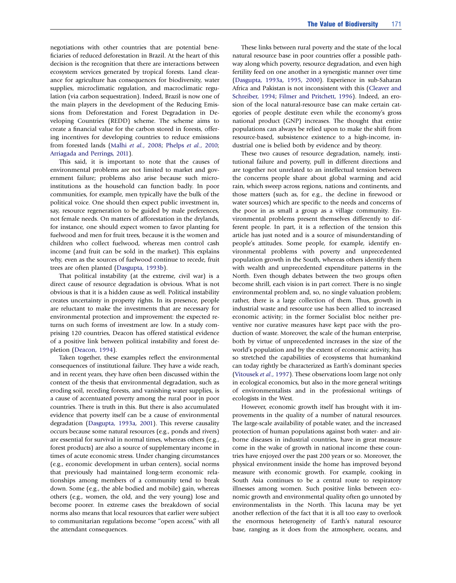negotiations with other countries that are potential beneficiaries of reduced deforestation in Brazil. At the heart of this decision is the recognition that there are interactions between ecosystem services generated by tropical forests. Land clearance for agriculture has consequences for biodiversity, water supplies, microclimatic regulation, and macroclimatic regulation (via carbon sequestration). Indeed, Brazil is now one of the main players in the development of the Reducing Emissions from Deforestation and Forest Degradation in Developing Countries (REDD) scheme. The scheme aims to create a financial value for the carbon stored in forests, offering incentives for developing countries to reduce emissions from forested lands (Malhi et al.[, 2008;](#page-12-0) [Phelps](#page-12-0) et al., 2010; [Arriagada and Perrings, 2011\)](#page-11-0).

This said, it is important to note that the causes of environmental problems are not limited to market and government failure; problems also arise because such microinstitutions as the household can function badly. In poor communities, for example, men typically have the bulk of the political voice. One should then expect public investment in, say, resource regeneration to be guided by male preferences, not female needs. On matters of afforestation in the drylands, for instance, one should expect women to favor planting for fuelwood and men for fruit trees, because it is the women and children who collect fuelwood, whereas men control cash income (and fruit can be sold in the market). This explains why, even as the sources of fuelwood continue to recede, fruit trees are often planted ([Dasgupta, 1993b\)](#page-11-0).

That political instability (at the extreme, civil war) is a direct cause of resource degradation is obvious. What is not obvious is that it is a hidden cause as well. Political instability creates uncertainty in property rights. In its presence, people are reluctant to make the investments that are necessary for environmental protection and improvement: the expected returns on such forms of investment are low. In a study comprising 120 countries, Deacon has offered statistical evidence of a positive link between political instability and forest depletion ([Deacon, 1994\)](#page-11-0).

Taken together, these examples reflect the environmental consequences of institutional failure. They have a wide reach, and in recent years, they have often been discussed within the context of the thesis that environmental degradation, such as eroding soil, receding forests, and vanishing water supplies, is a cause of accentuated poverty among the rural poor in poor countries. There is truth in this. But there is also accumulated evidence that poverty itself can be a cause of environmental degradation [\(Dasgupta, 1993a,](#page-11-0) [2001\)](#page-11-0). This reverse causality occurs because some natural resources (e.g., ponds and rivers) are essential for survival in normal times, whereas others (e.g., forest products) are also a source of supplementary income in times of acute economic stress. Under changing circumstances (e.g., economic development in urban centers), social norms that previously had maintained long-term economic relationships among members of a community tend to break down. Some (e.g., the able bodied and mobile) gain, whereas others (e.g., women, the old, and the very young) lose and become poorer. In extreme cases the breakdown of social norms also means that local resources that earlier were subject to communitarian regulations become ''open access,'' with all the attendant consequences.

These links between rural poverty and the state of the local natural resource base in poor countries offer a possible pathway along which poverty, resource degradation, and even high fertility feed on one another in a synergistic manner over time ([Dasgupta, 1993a](#page-11-0), [1995](#page-11-0), [2000](#page-11-0)). Experience in sub-Saharan Africa and Pakistan is not inconsistent with this [\(Cleaver and](#page-11-0) [Schreiber, 1994;](#page-11-0) [Filmer and Pritchett, 1996](#page-12-0)). Indeed, an erosion of the local natural-resource base can make certain categories of people destitute even while the economy's gross national product (GNP) increases. The thought that entire populations can always be relied upon to make the shift from resource-based, subsistence existence to a high-income, industrial one is belied both by evidence and by theory.

These two causes of resource degradation, namely, institutional failure and poverty, pull in different directions and are together not unrelated to an intellectual tension between the concerns people share about global warming and acid rain, which sweep across regions, nations and continents, and those matters (such as, for e.g., the decline in firewood or water sources) which are specific to the needs and concerns of the poor in as small a group as a village community. Environmental problems present themselves differently to different people. In part, it is a reflection of the tension this article has just noted and is a source of misunderstanding of people's attitudes. Some people, for example, identify environmental problems with poverty and unprecedented population growth in the South, whereas others identify them with wealth and unprecedented expenditure patterns in the North. Even though debates between the two groups often become shrill, each vision is in part correct. There is no single environmental problem and, so, no single valuation problem; rather, there is a large collection of them. Thus, growth in industrial waste and resource use has been allied to increased economic activity; in the former Socialist bloc neither preventive nor curative measures have kept pace with the production of waste. Moreover, the scale of the human enterprise, both by virtue of unprecedented increases in the size of the world's population and by the extent of economic activity, has so stretched the capabilities of ecosystems that humankind can today rightly be characterized as Earth's dominant species ([Vitousek](#page-12-0) et al., 1997). These observations loom large not only in ecological economics, but also in the more general writings of environmentalists and in the professional writings of ecologists in the West.

However, economic growth itself has brought with it improvements in the quality of a number of natural resources. The large-scale availability of potable water, and the increased protection of human populations against both water- and airborne diseases in industrial countries, have in great measure come in the wake of growth in national income these countries have enjoyed over the past 200 years or so. Moreover, the physical environment inside the home has improved beyond measure with economic growth. For example, cooking in South Asia continues to be a central route to respiratory illnesses among women. Such positive links between economic growth and environmental quality often go unnoted by environmentalists in the North. This lacuna may be yet another reflection of the fact that it is all too easy to overlook the enormous heterogeneity of Earth's natural resource base, ranging as it does from the atmosphere, oceans, and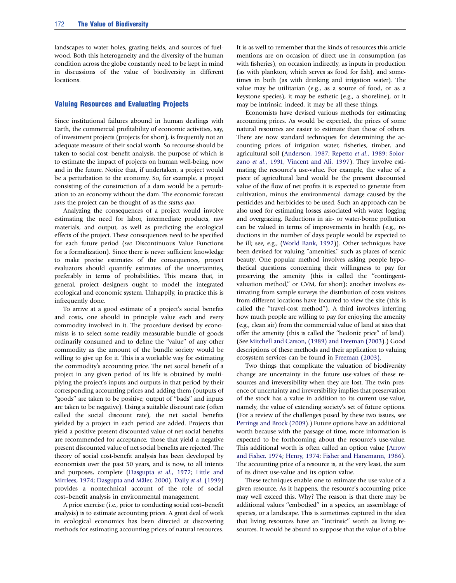landscapes to water holes, grazing fields, and sources of fuelwood. Both this heterogeneity and the diversity of the human condition across the globe constantly need to be kept in mind in discussions of the value of biodiversity in different locations.

## Valuing Resources and Evaluating Projects

Since institutional failures abound in human dealings with Earth, the commercial profitability of economic activities, say, of investment projects (projects for short), is frequently not an adequate measure of their social worth. So recourse should be taken to social cost–benefit analysis, the purpose of which is to estimate the impact of projects on human well-being, now and in the future. Notice that, if undertaken, a project would be a perturbation to the economy. So, for example, a project consisting of the construction of a dam would be a perturbation to an economy without the dam. The economic forecast sans the project can be thought of as the *status quo*.

Analyzing the consequences of a project would involve estimating the need for labor, intermediate products, raw materials, and output, as well as predicting the ecological effects of the project. These consequences need to be specified for each future period (see [Discontinuous Value Functions](#page-8-0) for a formalization). Since there is never sufficient knowledge to make precise estimates of the consequences, project evaluators should quantify estimates of the uncertainties, preferably in terms of probabilities. This means that, in general, project designers ought to model the integrated ecological and economic system. Unhappily, in practice this is infrequently done.

To arrive at a good estimate of a project's social benefits and costs, one should in principle value each and every commodity involved in it. The procedure devised by economists is to select some readily measurable bundle of goods ordinarily consumed and to define the ''value'' of any other commodity as the amount of the bundle society would be willing to give up for it. This is a workable way for estimating the commodity's accounting price. The net social benefit of a project in any given period of its life is obtained by multiplying the project's inputs and outputs in that period by their corresponding accounting prices and adding them (outputs of "goods" are taken to be positive; output of "bads" and inputs are taken to be negative). Using a suitable discount rate (often called the social discount rate), the net social benefits yielded by a project in each period are added. Projects that yield a positive present discounted value of net social benefits are recommended for acceptance; those that yield a negative present discounted value of net social benefits are rejected. The theory of social cost-benefit analysis has been developed by economists over the past 50 years, and is now, to all intents and purposes, complete ([Dasgupta](#page-11-0) et al., 1972; [Little and](#page-12-0) [Mirrlees, 1974;](#page-12-0) Dasgupta and Mäler, 2000). Daily et al[. \(1999\)](#page-11-0) provides a nontechnical account of the role of social cost–benefit analysis in environmental management.

A prior exercise (i.e., prior to conducting social cost–benefit analysis) is to estimate accounting prices. A great deal of work in ecological economics has been directed at discovering methods for estimating accounting prices of natural resources.

It is as well to remember that the kinds of resources this article mentions are on occasion of direct use in consumption (as with fisheries), on occasion indirectly, as inputs in production (as with plankton, which serves as food for fish), and sometimes in both (as with drinking and irrigation water). The value may be utilitarian (e.g., as a source of food, or as a keystone species), it may be esthetic (e.g., a shoreline), or it may be intrinsic; indeed, it may be all these things.

Economists have devised various methods for estimating accounting prices. As would be expected, the prices of some natural resources are easier to estimate than those of others. There are now standard techniques for determining the accounting prices of irrigation water, fisheries, timber, and agricultural soil ([Anderson, 1987;](#page-11-0) [Repetto](#page-12-0) et al., 1989; [Solor](#page-12-0)zano et al[., 1991](#page-12-0); [Vincent and Ali, 1997\)](#page-12-0). They involve estimating the resource's use-value. For example, the value of a piece of agricultural land would be the present discounted value of the flow of net profits it is expected to generate from cultivation, minus the environmental damage caused by the pesticides and herbicides to be used. Such an approach can be also used for estimating losses associated with water logging and overgrazing. Reductions in air- or water-borne pollution can be valued in terms of improvements in health (e.g., reductions in the number of days people would be expected to be ill; see, e.g., ([World Bank, 1992](#page-12-0))). Other techniques have been devised for valuing ''amenities,'' such as places of scenic beauty. One popular method involves asking people hypothetical questions concerning their willingness to pay for preserving the amenity (this is called the ''contingentvaluation method," or CVM, for short); another involves estimating from sample surveys the distribution of costs visitors from different locations have incurred to view the site (this is called the ''travel-cost method''). A third involves inferring how much people are willing to pay for enjoying the amenity (e.g., clean air) from the commercial value of land at sites that offer the amenity (this is called the ''hedonic price'' of land). (See [Mitchell and Carson, \(1989\) and Freeman \(2003\)](#page-12-0).) Good descriptions of these methods and their application to valuing ecosystem services can be found in [Freeman \(2003\).](#page-12-0)

Two things that complicate the valuation of biodiversity change are uncertainty in the future use-values of these resources and irreversibility when they are lost. The twin presence of uncertainty and irreversibility implies that preservation of the stock has a value in addition to its current use-value, namely, the value of extending society's set of future options. (For a review of the challenges posed by these two issues, see [Perrings and Brock \(2009](#page-12-0)).) Future options have an additional worth because with the passage of time, more information is expected to be forthcoming about the resource's use-value. This additional worth is often called an option value [\(Arrow](#page-11-0) [and Fisher, 1974;](#page-11-0) [Henry, 1974](#page-12-0); [Fisher and Hanemann, 1986](#page-12-0)). The accounting price of a resource is, at the very least, the sum of its direct use-value and its option value.

These techniques enable one to estimate the use-value of a given resource. As it happens, the resource's accounting price may well exceed this. Why? The reason is that there may be additional values ''embodied'' in a species, an assemblage of species, or a landscape. This is sometimes captured in the idea that living resources have an ''intrinsic'' worth as living resources. It would be absurd to suppose that the value of a blue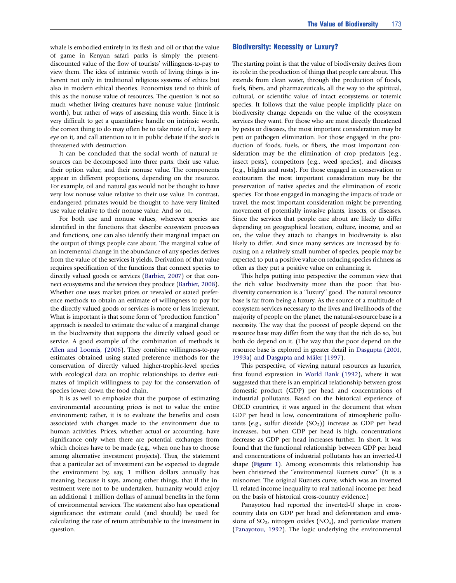whale is embodied entirely in its flesh and oil or that the value of game in Kenyan safari parks is simply the presentdiscounted value of the flow of tourists' willingness-to-pay to view them. The idea of intrinsic worth of living things is inherent not only in traditional religious systems of ethics but also in modern ethical theories. Economists tend to think of this as the nonuse value of resources. The question is not so much whether living creatures have nonuse value (intrinsic worth), but rather of ways of assessing this worth. Since it is very difficult to get a quantitative handle on intrinsic worth, the correct thing to do may often be to take note of it, keep an eye on it, and call attention to it in public debate if the stock is threatened with destruction.

It can be concluded that the social worth of natural resources can be decomposed into three parts: their use value, their option value, and their nonuse value. The components appear in different proportions, depending on the resource. For example, oil and natural gas would not be thought to have very low nonuse value relative to their use value. In contrast, endangered primates would be thought to have very limited use value relative to their nonuse value. And so on.

For both use and nonuse values, wherever species are identified in the functions that describe ecosystem processes and functions, one can also identify their marginal impact on the output of things people care about. The marginal value of an incremental change in the abundance of any species derives from the value of the services it yields. Derivation of that value requires specification of the functions that connect species to directly valued goods or services [\(Barbier, 2007\)](#page-11-0) or that connect ecosystems and the services they produce [\(Barbier, 2008\)](#page-11-0). Whether one uses market prices or revealed or stated preference methods to obtain an estimate of willingness to pay for the directly valued goods or services is more or less irrelevant. What is important is that some form of ''production function'' approach is needed to estimate the value of a marginal change in the biodiversity that supports the directly valued good or service. A good example of the combination of methods is [Allen and Loomis, \(2006](#page-11-0)). They combine willingness-to-pay estimates obtained using stated preference methods for the conservation of directly valued higher-trophic-level species with ecological data on trophic relationships to derive estimates of implicit willingness to pay for the conservation of species lower down the food chain.

It is as well to emphasize that the purpose of estimating environmental accounting prices is not to value the entire environment; rather, it is to evaluate the benefits and costs associated with changes made to the environment due to human activities. Prices, whether actual or accounting, have significance only when there are potential exchanges from which choices have to be made (e.g., when one has to choose among alternative investment projects). Thus, the statement that a particular act of investment can be expected to degrade the environment by, say, 1 million dollars annually has meaning, because it says, among other things, that if the investment were not to be undertaken, humanity would enjoy an additional 1 million dollars of annual benefits in the form of environmental services. The statement also has operational significance: the estimate could (and should) be used for calculating the rate of return attributable to the investment in question.

### Biodiversity: Necessity or Luxury?

The starting point is that the value of biodiversity derives from its role in the production of things that people care about. This extends from clean water, through the production of foods, fuels, fibers, and pharmaceuticals, all the way to the spiritual, cultural, or scientific value of intact ecosystems or totemic species. It follows that the value people implicitly place on biodiversity change depends on the value of the ecosystem services they want. For those who are most directly threatened by pests or diseases, the most important consideration may be pest or pathogen elimination. For those engaged in the production of foods, fuels, or fibers, the most important consideration may be the elimination of crop predators (e.g., insect pests), competitors (e.g., weed species), and diseases (e.g., blights and rusts). For those engaged in conservation or ecotourism the most important consideration may be the preservation of native species and the elimination of exotic species. For those engaged in managing the impacts of trade or travel, the most important consideration might be preventing movement of potentially invasive plants, insects, or diseases. Since the services that people care about are likely to differ depending on geographical location, culture, income, and so on, the value they attach to changes in biodiversity is also likely to differ. And since many services are increased by focusing on a relatively small number of species, people may be expected to put a positive value on reducing species richness as often as they put a positive value on enhancing it.

This helps putting into perspective the common view that the rich value biodiversity more than the poor: that biodiversity conservation is a ''luxury'' good. The natural resource base is far from being a luxury. As the source of a multitude of ecosystem services necessary to the lives and livelihoods of the majority of people on the planet, the natural-resource base is a necessity. The way that the poorest of people depend on the resource base may differ from the way that the rich do so, but both do depend on it. (The way that the poor depend on the resource base is explored in greater detail in [Dasgupta \(2001,](#page-11-0) [1993a\)](#page-11-0) and Dasgupta and Mäler (1997).

This perspective, of viewing natural resources as luxuries, first found expression in [World Bank \(1992\)](#page-12-0), where it was suggested that there is an empirical relationship between gross domestic product (GDP) per head and concentrations of industrial pollutants. Based on the historical experience of OECD countries, it was argued in the document that when GDP per head is low, concentrations of atmospheric pollutants (e.g., sulfur dioxide  $(SO<sub>2</sub>)$ ) increase as GDP per head increases, but when GDP per head is high, concentrations decrease as GDP per head increases further. In short, it was found that the functional relationship between GDP per head and concentrations of industrial pollutants has an inverted-U shape ([Figure 1](#page-7-0)). Among economists this relationship has been christened the ''environmental Kuznets curve.'' (It is a misnomer. The original Kuznets curve, which was an inverted U, related income inequality to real national income per head on the basis of historical cross-country evidence.)

Panayotou had reported the inverted-U shape in crosscountry data on GDP per head and deforestation and emissions of  $SO_2$ , nitrogen oxides (NO<sub>x</sub>), and particulate matters ([Panayotou, 1992](#page-12-0)). The logic underlying the environmental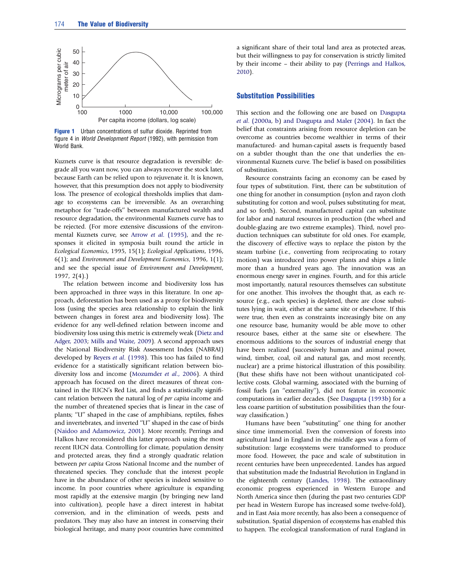<span id="page-7-0"></span>

Figure 1 Urban concentrations of sulfur dioxide. Reprinted from figure 4 in World Development Report (1992), with permission from World Bank.

Kuznets curve is that resource degradation is reversible: degrade all you want now, you can always recover the stock later, because Earth can be relied upon to rejuvenate it. It is known, however, that this presumption does not apply to biodiversity loss. The presence of ecological thresholds implies that damage to ecosystems can be irreversible. As an overarching metaphor for ''trade-offs'' between manufactured wealth and resource degradation, the environmental Kuznets curve has to be rejected. (For more extensive discussions of the environmental Kuznets curve, see Arrow et al[. \(1995\),](#page-11-0) and the responses it elicited in symposia built round the article in Ecological Economics, 1995, 15(1); Ecological Applications, 1996, 6(1); and Environment and Development Economics, 1996, 1(1); and see the special issue of Environment and Development, 1997, 2(4).)

The relation between income and biodiversity loss has been approached in three ways in this literature. In one approach, deforestation has been used as a proxy for biodiversity loss (using the species area relationship to explain the link between changes in forest area and biodiversity loss). The evidence for any well-defined relation between income and biodiversity loss using this metric is extremely weak ([Dietz and](#page-11-0) [Adger, 2003](#page-11-0); [Mills and Waite, 2009](#page-12-0)). A second approach uses the National Biodiversity Risk Assessment Index (NABRAI) developed by Reyers et al[. \(1998\)](#page-12-0). This too has failed to find evidence for a statistically significant relation between biodiversity loss and income [\(Mozumder](#page-12-0) et al., 2006). A third approach has focused on the direct measures of threat contained in the IUCN's Red List, and finds a statistically significant relation between the natural log of per capita income and the number of threatened species that is linear in the case of plants; ''U'' shaped in the case of amphibians, reptiles, fishes and invertebrates, and inverted ''U'' shaped in the case of birds ([Naidoo and Adamowicz, 2001\)](#page-12-0). More recently, Perrings and Halkos have reconsidered this latter approach using the most recent IUCN data. Controlling for climate, population density and protected areas, they find a strongly quadratic relation between per capita Gross National Income and the number of threatened species. They conclude that the interest people have in the abundance of other species is indeed sensitive to income. In poor countries where agriculture is expanding most rapidly at the extensive margin (by bringing new land into cultivation), people have a direct interest in habitat conversion, and in the elimination of weeds, pests and predators. They may also have an interest in conserving their biological heritage, and many poor countries have committed

a significant share of their total land area as protected areas, but their willingness to pay for conservation is strictly limited by their income – their ability to pay ([Perrings and Halkos,](#page-12-0) [2010\)](#page-12-0).

#### Substitution Possibilities

This section and the following one are based on [Dasgupta](#page-11-0) et al[. \(2000a](#page-11-0), [b](#page-11-0)) [and Dasgupta and Maler \(2004\)](#page-11-0). In fact the belief that constraints arising from resource depletion can be overcome as countries become wealthier in terms of their manufactured- and human-capital assets is frequently based on a subtler thought than the one that underlies the environmental Kuznets curve. The belief is based on possibilities of substitution.

Resource constraints facing an economy can be eased by four types of substitution. First, there can be substitution of one thing for another in consumption (nylon and rayon cloth substituting for cotton and wool, pulses substituting for meat, and so forth). Second, manufactured capital can substitute for labor and natural resources in production (the wheel and double-glazing are two extreme examples). Third, novel production techniques can substitute for old ones. For example, the discovery of effective ways to replace the piston by the steam turbine (i.e., converting from reciprocating to rotary motion) was introduced into power plants and ships a little more than a hundred years ago. The innovation was an enormous energy saver in engines. Fourth, and for this article most importantly, natural resources themselves can substitute for one another. This involves the thought that, as each resource (e.g., each species) is depleted, there are close substitutes lying in wait, either at the same site or elsewhere. If this were true, then even as constraints increasingly bite on any one resource base, humanity would be able move to other resource bases, either at the same site or elsewhere. The enormous additions to the sources of industrial energy that have been realized (successively human and animal power, wind, timber, coal, oil and natural gas, and most recently, nuclear) are a prime historical illustration of this possibility. (But these shifts have not been without unanticipated collective costs. Global warming, associated with the burning of fossil fuels (an ''externality''), did not feature in economic computations in earlier decades. (See [Dasgupta \(1993b\)](#page-11-0) for a less coarse partition of substitution possibilities than the fourway classification.)

Humans have been ''substituting'' one thing for another since time immemorial. Even the conversion of forests into agricultural land in England in the middle ages was a form of substitution: large ecosystems were transformed to produce more food. However, the pace and scale of substitution in recent centuries have been unprecedented. Landes has argued that substitution made the Industrial Revolution in England in the eighteenth century [\(Landes, 1998](#page-12-0)). The extraordinary economic progress experienced in Western Europe and North America since then (during the past two centuries GDP per head in Western Europe has increased some twelve-fold), and in East Asia more recently, has also been a consequence of substitution. Spatial dispersion of ecosystems has enabled this to happen. The ecological transformation of rural England in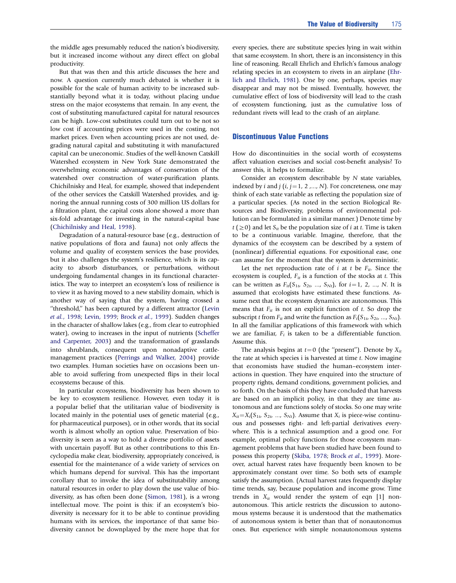<span id="page-8-0"></span>the middle ages presumably reduced the nation's biodiversity, but it increased income without any direct effect on global productivity.

But that was then and this article discusses the here and now. A question currently much debated is whether it is possible for the scale of human activity to be increased substantially beyond what it is today, without placing undue stress on the major ecosystems that remain. In any event, the cost of substituting manufactured capital for natural resources can be high. Low-cost substitutes could turn out to be not so low cost if accounting prices were used in the costing, not market prices. Even when accounting prices are not used, degrading natural capital and substituting it with manufactured capital can be uneconomic. Studies of the well-known Catskill Watershed ecosystem in New York State demonstrated the overwhelming economic advantages of conservation of the watershed over construction of water-purification plants. Chichilnisky and Heal, for example, showed that independent of the other services the Catskill Watershed provides, and ignoring the annual running costs of 300 million US dollars for a filtration plant, the capital costs alone showed a more than six-fold advantage for investing in the natural-capital base ([Chichilnisky and Heal, 1998](#page-11-0)).

Degradation of a natural-resource base (e.g., destruction of native populations of flora and fauna) not only affects the volume and quality of ecosystem services the base provides, but it also challenges the system's resilience, which is its capacity to absorb disturbances, or perturbations, without undergoing fundamental changes in its functional characteristics. The way to interpret an ecosystem's loss of resilience is to view it as having moved to a new stability domain, which is another way of saying that the system, having crossed a ''threshold,'' has been captured by a different attractor ([Levin](#page-12-0) et al.[, 1998](#page-12-0); [Levin, 1999;](#page-12-0) Brock et al.[, 1999\)](#page-11-0). Sudden changes in the character of shallow lakes (e.g., from clear to eutrophied water), owing to increases in the input of nutrients ([Scheffer](#page-12-0) [and Carpenter, 2003\)](#page-12-0) and the transformation of grasslands into shrublands, consequent upon nonadaptive cattlemanagement practices [\(Perrings and Walker, 2004](#page-12-0)) provide two examples. Human societies have on occasions been unable to avoid suffering from unexpected flips in their local ecosystems because of this.

In particular ecosystems, biodiversity has been shown to be key to ecosystem resilience. However, even today it is a popular belief that the utilitarian value of biodiversity is located mainly in the potential uses of genetic material (e.g., for pharmaceutical purposes), or in other words, that its social worth is almost wholly an option value. Preservation of biodiversity is seen as a way to hold a diverse portfolio of assets with uncertain payoff. But as other contributions to this Encyclopedia make clear, biodiversity, appropriately conceived, is essential for the maintenance of a wide variety of services on which humans depend for survival. This has the important corollary that to invoke the idea of substitutability among natural resources in order to play down the use value of biodiversity, as has often been done [\(Simon, 1981\)](#page-12-0), is a wrong intellectual move. The point is this: if an ecosystem's biodiversity is necessary for it to be able to continue providing humans with its services, the importance of that same biodiversity cannot be downplayed by the mere hope that for every species, there are substitute species lying in wait within that same ecosystem. In short, there is an inconsistency in this line of reasoning. Recall Ehrlich and Ehrlich's famous analogy relating species in an ecosystem to rivets in an airplane ([Ehr](#page-12-0)[lich and Ehrlich, 1981\)](#page-12-0). One by one, perhaps, species may disappear and may not be missed. Eventually, however, the cumulative effect of loss of biodiversity will lead to the crash of ecosystem functioning, just as the cumulative loss of redundant rivets will lead to the crash of an airplane.

#### Discontinuous Value Functions

How do discontinuities in the social worth of ecosystems affect valuation exercises and social cost-benefit analysis? To answer this, it helps to formalize.

Consider an ecosystem describable by N state variables, indexed by *i* and *j*  $(i, j = 1, 2, ..., N)$ . For concreteness, one may think of each state variable as reflecting the population size of a particular species. (As noted in the [section Biological Re](#page-0-0)[sources and Biodiversity,](#page-0-0) problems of environmental pollution can be formulated in a similar manner.) Denote time by  $t$  ( $\geq$ 0) and let  $S_{it}$  be the population size of *i* at *t*. Time is taken to be a continuous variable. Imagine, therefore, that the dynamics of the ecosystem can be described by a system of (nonlinear) differential equations. For expositional ease, one can assume for the moment that the system is deterministic.

Let the net reproduction rate of i at t be  $F_{it}$ . Since the ecosystem is coupled,  $F_{it}$  is a function of the stocks at t. This can be written as  $F_{it}(S_{1t}, S_{2t}, ..., S_{Nt})$ , for  $i=1, 2, ..., N$ . It is assumed that ecologists have estimated these functions. Assume next that the ecosystem dynamics are autonomous. This means that  $F_{it}$  is not an explicit function of t. So drop the subscript t from  $F_{it}$  and write the function as  $F_i(S_{1t}, S_{2t}, ..., S_{Nt})$ . In all the familiar applications of this framework with which we are familiar,  $F_i$  is taken to be a differentiable function. Assume this.

The analysis begins at  $t=0$  (the "present"). Denote by  $X_{it}$ the rate at which species  $i$  is harvested at time  $t$ . Now imagine that economists have studied the human–ecosystem interactions in question. They have enquired into the structure of property rights, demand conditions, government policies, and so forth. On the basis of this they have concluded that harvests are based on an implicit policy, in that they are time autonomous and are functions solely of stocks. So one may write  $X_{it} = X_i (S_{1t}, S_{2t}, \ldots, S_{Nt})$ . Assume that  $X_i$  is piece-wise continuous and possesses right- and left-partial derivatives everywhere. This is a technical assumption and a good one. For example, optimal policy functions for those ecosystem management problems that have been studied have been found to possess this property [\(Skiba, 1978](#page-12-0); Brock et al[., 1999\)](#page-11-0). Moreover, actual harvest rates have frequently been known to be approximately constant over time. So both sets of example satisfy the assumption. (Actual harvest rates frequently display time trends, say, because population and income grow. Time trends in  $X_{it}$  would render the system of eqn [1] nonautonomous. This article restricts the discussion to autonomous systems because it is understood that the mathematics of autonomous system is better than that of nonautonomus ones. But experience with simple nonautonomous systems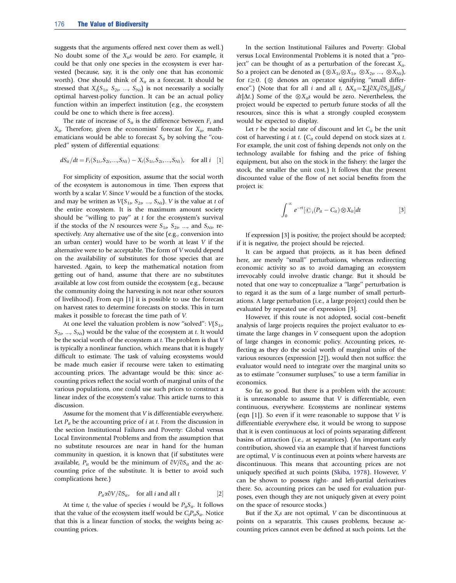suggests that the arguments offered next cover them as well.) No doubt some of the  $X_{it}$ s would be zero. For example, it could be that only one species in the ecosystem is ever harvested (because, say, it is the only one that has economic worth). One should think of  $X_{it}$  as a forecast. It should be stressed that  $X_i(S_{1t}, S_{2t}, ..., S_{Nt})$  is not necessarily a socially optimal harvest-policy function. It can be an actual policy function within an imperfect institution (e.g., the ecosystem could be one to which there is free access).

The rate of increase of  $S_{it}$  is the difference between  $F_i$  and  $X_{it}$ . Therefore, given the economists' forecast for  $X_{it}$ , mathematicians would be able to forecast  $S_{it}$  by solving the "coupled'' system of differential equations:

$$
dS_{it}/dt = F_i(S_{1t}, S_{2t},..., S_{Nt}) - X_i(S_{1t}, S_{2t},..., S_{Nt}), \text{ for all } i \quad [1]
$$

For simplicity of exposition, assume that the social worth of the ecosystem is autonomous in time. Then express that worth by a scalar V. Since V would be a function of the stocks, and may be written as  $V(S_{1t}, S_{2t}, ..., S_{Nt})$ . *V* is the value at t of the entire ecosystem. It is the maximum amount society should be "willing to pay" at  $t$  for the ecosystem's survival if the stocks of the N resources were  $S_{1t}$ ,  $S_{2t}$ , ..., and  $S_{Nt}$ , respectively. Any alternative use of the site (e.g., conversion into an urban center) would have to be worth at least V if the alternative were to be acceptable. The form of V would depend on the availability of substitutes for those species that are harvested. Again, to keep the mathematical notation from getting out of hand, assume that there are no substitutes available at low cost from outside the ecosystem (e.g., because the community doing the harvesting is not near other sources of livelihood). From eqn [1] it is possible to use the forecast on harvest rates to determine forecasts on stocks. This in turn makes it possible to forecast the time path of V.

At one level the valuation problem is now "solved":  $V(S_{1t})$  $S_{2t}$ , ...,  $S_{Nt}$ ) would be the value of the ecosystem at t. It would be the social worth of the ecosystem at  $t$ . The problem is that  $V$ is typically a nonlinear function, which means that it is hugely difficult to estimate. The task of valuing ecosystems would be made much easier if recourse were taken to estimating accounting prices. The advantage would be this: since accounting prices reflect the social worth of marginal units of the various populations, one could use such prices to construct a linear index of the ecosystem's value. This article turns to this discussion.

Assume for the moment that V is differentiable everywhere. Let  $P_{it}$  be the accounting price of *i* at *t*. From the discussion in the [section Institutional Failures and Poverty: Global versus](#page-3-0) [Local Environmental Problems](#page-3-0) and from the assumption that no substitute resources are near in hand for the human community in question, it is known that (if substitutes were available,  $P_{it}$  would be the minimum of  $\partial V/\partial S_{it}$  and the accounting price of the substitute. It is better to avoid such complications here.)

$$
P_{it} \alpha \partial V / \partial S_{it}, \quad \text{for all } i \text{ and all } t \tag{2}
$$

At time t, the value of species i would be  $P_{it}S_{it}$ . It follows that the value of the ecosystem itself would be  $C_iP_{it}S_{it}$ . Notice that this is a linear function of stocks, the weights being accounting prices.

In the [section Institutional Failures and Poverty: Global](#page-3-0) [versus Local Environmental Problems](#page-3-0) it is noted that a ''project" can be thought of as a perturbation of the forecast  $X_{it}$ . So a project can be denoted as  $(\otimes X_{1t} \otimes X_{1t}, \otimes X_{2t}, ..., \otimes X_{Nt})$ , for  $t \geq 0$ . ( $\otimes$  denotes an operator signifying "small difference".) (Note that for all i and all t,  $\Delta X_{it} = \sum_i [\partial X_i/\partial S_{it}] [dS_{it}]$  $dt$ [ $\Delta t$ .) Some of the  $\otimes X_{it}$ s would be zero. Nevertheless, the project would be expected to perturb future stocks of all the resources, since this is what a strongly coupled ecosystem would be expected to display.

Let r be the social rate of discount and let  $C_{it}$  be the unit cost of harvesting i at t.  $(C_{it}$  could depend on stock sizes at t. For example, the unit cost of fishing depends not only on the technology available for fishing and the price of fishing equipment, but also on the stock in the fishery: the larger the stock, the smaller the unit cost.) It follows that the present discounted value of the flow of net social benefits from the project is:

$$
\int_0^\infty e^{-rt} [\mathbb{O}_i(P_{it} - C_{it}) \otimes X_{it}] dt \qquad [3]
$$

If expression [3] is positive, the project should be accepted; if it is negative, the project should be rejected.

It can be argued that projects, as it has been defined here, are merely ''small'' perturbations, whereas redirecting economic activity so as to avoid damaging an ecosystem irrevocably could involve drastic change. But it should be noted that one way to conceptualize a ''large'' perturbation is to regard it as the sum of a large number of small perturbations. A large perturbation (i.e., a large project) could then be evaluated by repeated use of expression [3].

However, if this route is not adopted, social cost–benefit analysis of large projects requires the project evaluator to estimate the large changes in V consequent upon the adoption of large changes in economic policy. Accounting prices, reflecting as they do the social worth of marginal units of the various resources (expression [2]), would then not suffice: the evaluator would need to integrate over the marginal units so as to estimate ''consumer surpluses,'' to use a term familiar in economics.

So far, so good. But there is a problem with the account: it is unreasonable to assume that  $V$  is differentiable, even continuous, everywhere. Ecosystems are nonlinear systems (eqn  $[1]$ ). So even if it were reasonable to suppose that V is differentiable everywhere else, it would be wrong to suppose that it is even continuous at loci of points separating different basins of attraction (i.e., at separatrices). (An important early contribution, showed via an example that if harvest functions are optimal, V is continuous even at points where harvests are discontinuous. This means that accounting prices are not uniquely specified at such points ([Skiba, 1978](#page-12-0)). However, V can be shown to possess right- and left-partial derivatives there. So, accounting prices can be used for evaluation purposes, even though they are not uniquely given at every point on the space of resource stocks.)

But if the  $X_i$  are not optimal, V can be discontinuous at points on a separatrix. This causes problems, because accounting prices cannot even be defined at such points. Let the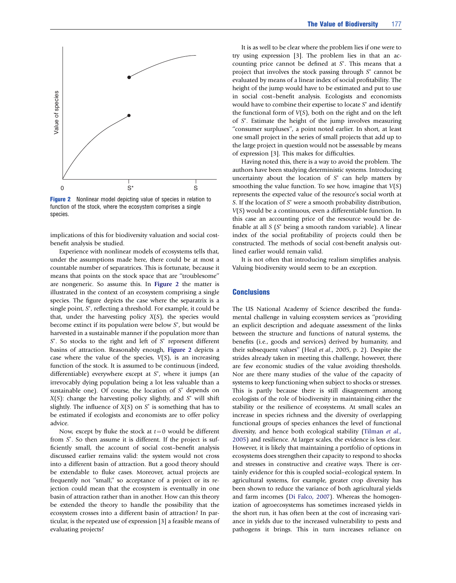

**Figure 2** Nonlinear model depicting value of species in relation to function of the stock, where the ecosystem comprises a single species.

implications of this for biodiversity valuation and social costbenefit analysis be studied.

Experience with nonlinear models of ecosystems tells that, under the assumptions made here, there could be at most a countable number of separatrices. This is fortunate, because it means that points on the stock space that are ''troublesome'' are nongeneric. So assume this. In Figure 2 the matter is illustrated in the context of an ecosystem comprising a single species. The figure depicts the case where the separatrix is a single point, S<sup>\*</sup>, reflecting a threshold. For example, it could be that, under the harvesting policy  $X(S)$ , the species would become extinct if its population were below  $S^*$ , but would be harvested in a sustainable manner if the population more than  $S^*$ . So stocks to the right and left of  $S^*$  represent different basins of attraction. Reasonably enough, Figure 2 depicts a case where the value of the species,  $V(S)$ , is an increasing function of the stock. It is assumed to be continuous (indeed, differentiable) everywhere except at S<sup>\*</sup>, where it jumps (an irrevocably dying population being a lot less valuable than a sustainable one). Of course, the location of  $S^*$  depends on  $X(S)$ : change the harvesting policy slightly, and  $S^*$  will shift slightly. The influence of  $X(S)$  on  $S^*$  is something that has to be estimated if ecologists and economists are to offer policy advice.

Now, except by fluke the stock at  $t=0$  would be different from  $S^*$ . So then assume it is different. If the project is sufficiently small, the account of social cost–benefit analysis discussed earlier remains valid: the system would not cross into a different basin of attraction. But a good theory should be extendable to fluke cases. Moreover, actual projects are frequently not ''small,'' so acceptance of a project or its rejection could mean that the ecosystem is eventually in one basin of attraction rather than in another. How can this theory be extended the theory to handle the possibility that the ecosystem crosses into a different basin of attraction? In particular, is the repeated use of expression [3] a feasible means of evaluating projects?

It is as well to be clear where the problem lies if one were to try using expression [3]. The problem lies in that an accounting price cannot be defined at S . This means that a project that involves the stock passing through  $S^*$  cannot be evaluated by means of a linear index of social profitability. The height of the jump would have to be estimated and put to use in social cost–benefit analysis. Ecologists and economists would have to combine their expertise to locate  $S^*$  and identify the functional form of  $V(S)$ , both on the right and on the left of S . Estimate the height of the jump involves measuring ''consumer surpluses'', a point noted earlier. In short, at least one small project in the series of small projects that add up to the large project in question would not be assessable by means of expression [3]. This makes for difficulties.

Having noted this, there is a way to avoid the problem. The authors have been studying deterministic systems. Introducing uncertainty about the location of  $S^*$  can help matters by smoothing the value function. To see how, imagine that  $V(S)$ represents the expected value of the resource's social worth at S. If the location of  $S^*$  were a smooth probability distribution, V(S) would be a continuous, even a differentiable function. In this case an accounting price of the resource would be definable at all  $S(S^*)$  being a smooth random variable). A linear index of the social profitability of projects could then be constructed. The methods of social cost-benefit analysis outlined earlier would remain valid.

It is not often that introducing realism simplifies analysis. Valuing biodiversity would seem to be an exception.

# **Conclusions**

The US National Academy of Science described the fundamental challenge in valuing ecosystem services as ''providing an explicit description and adequate assessment of the links between the structure and functions of natural systems, the benefits (i.e., goods and services) derived by humanity, and their subsequent values'' (Heal et al., 2005, p. 2). Despite the strides already taken in meeting this challenge, however, there are few economic studies of the value avoiding thresholds. Nor are there many studies of the value of the capacity of systems to keep functioning when subject to shocks or stresses. This is partly because there is still disagreement among ecologists of the role of biodiversity in maintaining either the stability or the resilience of ecosystems. At small scales an increase in species richness and the diversity of overlapping functional groups of species enhances the level of functional diversity, and hence both ecological stability ([Tilman](#page-12-0) et al., [2005\)](#page-12-0) and resilience. At larger scales, the evidence is less clear. However, it is likely that maintaining a portfolio of options in ecosystems does strengthen their capacity to respond to shocks and stresses in constructive and creative ways. There is certainly evidence for this is coupled social–ecological system. In agricultural systems, for example, greater crop diversity has been shown to reduce the variance of both agricultural yields and farm incomes [\(Di Falco, 2007\)](#page-11-0). Whereas the homogenization of agroecosystems has sometimes increased yields in the short run, it has often been at the cost of increasing variance in yields due to the increased vulnerability to pests and pathogens it brings. This in turn increases reliance on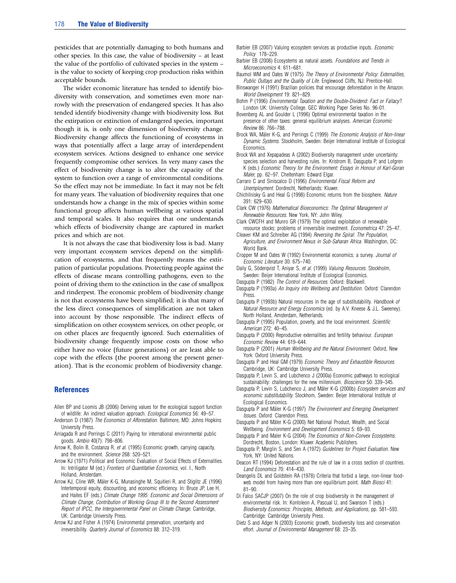<span id="page-11-0"></span>pesticides that are potentially damaging to both humans and other species. In this case, the value of biodiversity – at least the value of the portfolio of cultivated species in the system – is the value to society of keeping crop production risks within acceptable bounds.

The wider economic literature has tended to identify biodiversity with conservation, and sometimes even more narrowly with the preservation of endangered species. It has also tended identify biodiversity change with biodiversity loss. But the extirpation or extinction of endangered species, important though it is, is only one dimension of biodiversity change. Biodiversity change affects the functioning of ecosystems in ways that potentially affect a large array of interdependent ecosystem services. Actions designed to enhance one service frequently compromise other services. In very many cases the effect of biodiversity change is to alter the capacity of the system to function over a range of environmental conditions. So the effect may not be immediate. In fact it may not be felt for many years. The valuation of biodiversity requires that one understands how a change in the mix of species within some functional group affects human wellbeing at various spatial and temporal scales. It also requires that one understands which effects of biodiversity change are captured in market prices and which are not.

It is not always the case that biodiversity loss is bad. Many very important ecosystem services depend on the simplification of ecosystems, and that frequently means the extirpation of particular populations. Protecting people against the effects of disease means controlling pathogens, even to the point of driving them to the extinction in the case of smallpox and rinderpest. The economic problem of biodiversity change is not that ecosystems have been simplified; it is that many of the less direct consequences of simplification are not taken into account by those responsible. The indirect effects of simplification on other ecosystem services, on other people, or on other places are frequently ignored. Such externalities of biodiversity change frequently impose costs on those who either have no voice (future generations) or are least able to cope with the effects (the poorest among the present generation). That is the economic problem of biodiversity change.

#### References

- Allen BP and Loomis JB (2006) Deriving values for the ecological support function of wildlife: An indirect valuation approach. Ecological Economics 56: 49-57.
- Anderson D (1987) The Economics of Afforestation. Baltimore, MD: Johns Hopkins University Press.
- Arriagada R and Perrings C (2011) Paying for international environmental public goods. Ambio 40(7): 798–806.
- Arrow K, Bolin B, Costanza R, et al. (1995) Economic growth, carrying capacity, and the environment. Science 268: 520-521.
- Arrow KJ (1971) Political and Economic Evaluation of Social Effects of Externalities. In: Intriligator M (ed.) Frontiers of Quantitative Economics, vol. I., North Holland, Amsterdam.
- Arrow KJ, Cline WR, Mäler K-G, Munasinghe M, Squitieri R, and Stiglitz JE (1996) Intertemporal equity, discounting, and economic efficiency. In: Bruce JP, Lee H, and Haites EF (eds.) Climate Change 1995: Economic and Social Dimensions of Climate Change, Contribution of Working Group III to the Second Assessment Report of IPCC, the Intergovernmental Panel on Climate Change. Cambridge, UK: Cambridge University Press.
- Arrow KJ and Fisher A (1974) Environmental preservation, uncertainty and irreversibility. Quarterly Journal of Economics 88: 312–319.
- Barbier EB (2007) Valuing ecosystem services as productive inputs. Economic Policy 178–229.
- Barbier EB (2008) Ecosystems as natural assets. Foundations and Trends in Microeconomics 4: 611–681.
- Baumol WM and Oates W (1975) The Theory of Environmental Policy: Externalities, Public Outlays and the Quality of Life. Englewood Cliffs, NJ: Prentice-Hall.
- Binswanger H (1991) Brazilian policies that encourage deforestation in the Amazon. World Development 19: 821–829.
- Bohm P (1996) Environmental Taxation and the Double-Dividend: Fact or Fallacy?. London UK: University College. GEC Working Paper Series No. 96-01.
- Bovenberg AL and Goulder L (1996) Optimal environmental taxation in the presence of other taxes: general equilibrium analyses. American Economic Review 86: 766–788.
- Brock WA, Mäler K-G, and Perrings C (1999) The Economic Analysis of Non-linear Dynamic Systems. Stockholm, Sweden: Beijer International Institute of Ecological **Economics**
- Brock WA and Xepapadeas A (2002) Biodiversity management under uncertainty: species selection and harvesting rules. In: Kristrom B, Dasgupta P, and Lofgren K (eds.) Economic Theory for the Environment: Essays in Honour of Karl-Goran Maler, pp. 62–97. Cheltenham: Edward Elgar.
- Carraro C and Siniscalco D (1996) Environmental Fiscal Reform and Unemployment. Dordrecht, Netherlands: Kluwer.
- Chichilnisky G and Heal G (1998) Economic returns from the biosphere. Nature 391: 629–630.
- Clark CW (1976) Mathematical Bioeconomics: The Optimal Management of Renewable Resources. New York, NY: John Wiley.
- Clark CWCFH and Munro GR (1979) The optimal exploitation of renewable resource stocks: problems of irreversible investment. Econometrica 47: 25–47.
- Cleaver KM and Schreiber AG (1994) Reversing the Spiral: The Population, Agriculture, and Environment Nexus in Sub-Saharan Africa. Washington, DC: World Bank
- Cropper M and Oates W (1992) Environmental economics: a survey. Journal of Economic Literature 30: 675–740.
- Daily G, Söderqvist T, Aniyar S, et al. (1999) Valuing Resources. Stockholm, Sweden: Beijer International Institute of Ecological Economics.
- Dasgupta P (1982) The Control of Resources. Oxford: Blackwell.
- Dasgupta P (1993a) An Inquiry into Wellbeing and Destitution. Oxford: Clarendon Press.
- Dasqupta P (1993b) Natural resources in the age of substitutability. Handbook of Natural Resource and Energy Economics (ed. by A.V. Kneese & J.L. Sweeney). North Holland, Amsterdam, Netherlands.
- Dasgupta P (1995) Population, poverty, and the local environment. Scientific American 272: 40–45.
- Dasgupta P (2000) Reproductive externalities and fertility behaviour. European Economic Review 44: 619–644.
- Dasgupta P (2001) Human Wellbeing and the Natural Environment. Oxford, New York: Oxford University Press.
- Dasgupta P and Heal GM (1979) Economic Theory and Exhaustible Resources. Cambridge, UK: Cambridge University Press.
- Dasgupta P, Levin S, and Lubchenco J (2000a) Economic pathways to ecological sustainability: challenges for the new millennium. Bioscience 50: 339-345.
- Dasgupta P, Levin S, Lubchenco J, and Mäler K-G (2000b) Ecosystem services and economic substitutability. Stockhom, Sweden: Beijer International Institute of Ecological Economics.
- Dasgupta P and Mäler K-G (1997) The Environment and Emerging Development Issues. Oxford: Clarendon Press.
- Dasgupta P and Mäler K-G (2000) Net National Product, Wealth, and Social Wellbeing. Environment and Development Economics 5: 69–93.
- Dasgupta P and Maler K-G (2004) The Economics of Non-Convex Ecosystems. Dordrecht, Boston, London: Kluwer Academic Publishers.
- Dasgupta P, Marglin S, and Sen A (1972) Guidelines for Project Evaluation. New York, NY: United Nations.
- Deacon RT (1994) Deforestation and the rule of law in a cross section of countries. Land Economics 70: 414–430.
- Deangelis DL and Goldstein RA (1978) Criteria that forbid a large, non-linear foodweb model from having more than one equilibrium point. *Math Biosci* 41: 81–90.
- Di Falco SACJP (2007) On the role of crop biodiversity in the management of environmental risk. In: Kontoleon A, Pascual U, and Swanson T (eds.) Biodiversity Economics: Principles, Methods, and Applications, pp. 581–593. Cambridge: Cambridge University Press.
- Dietz S and Adger N (2003) Economic growth, biodiversity loss and conservation effort. Journal of Environmental Management 68: 23–35.